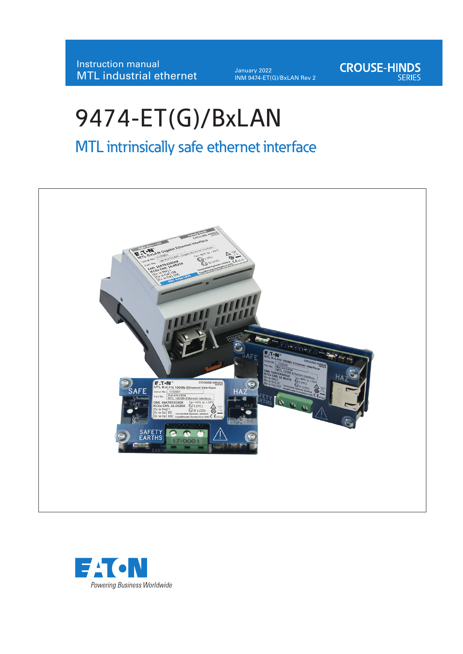January 2022 INM 9474-ET(G)/BxLAN Rev 2 **CROUSE-HINDS** 

**SERIES** 

# 9474-ET(G)/BxLAN

MTL intrinsically safe ethernet interface



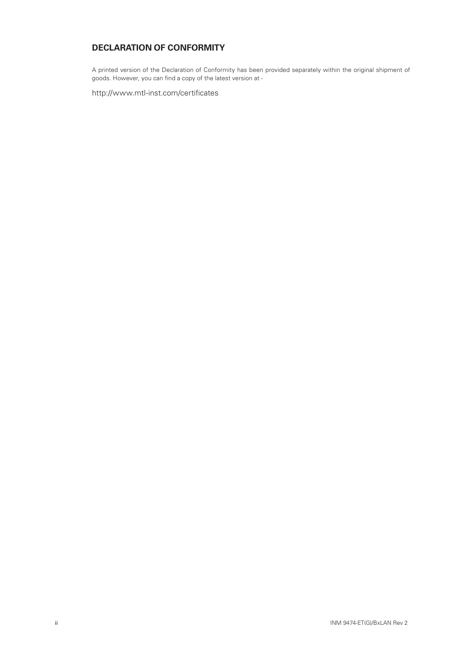## **DECLARATION OF CONFORMITY**

A printed version of the Declaration of Conformity has been provided separately within the original shipment of goods. However, you can find a copy of the latest version at -

http://www.mtl-inst.com/certificates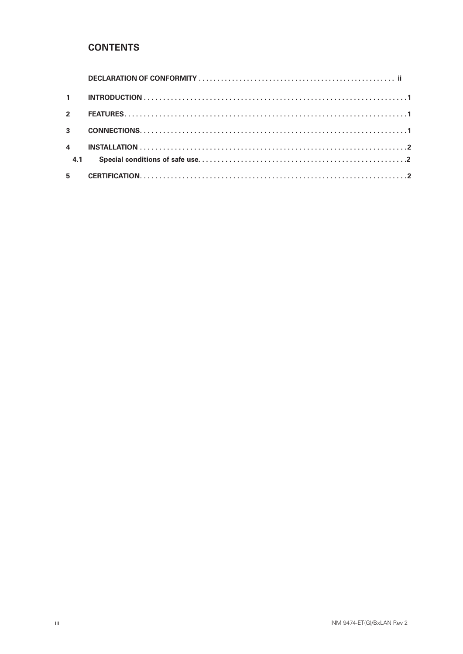## **CONTENTS**

| 4.1 |  |
|-----|--|
|     |  |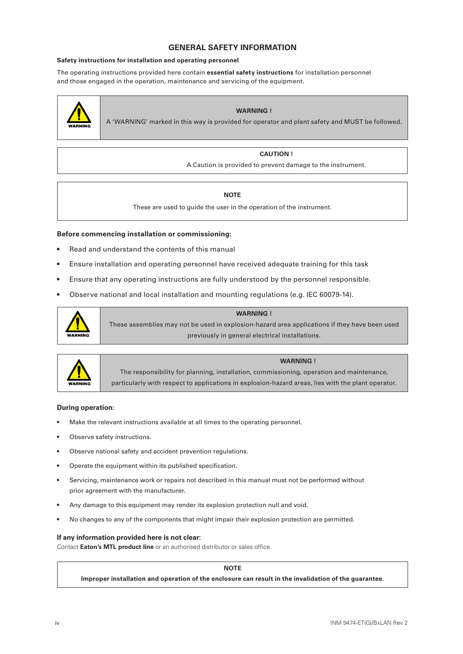## **GENERAL SAFETY INFORMATION**

## **Safety instructions for installation and operating personnel**

The operating instructions provided here contain **essential safety instructions** for installation personnel and those engaged in the operation, maintenance and servicing of the equipment.



## **WARNING !**

A 'WARNING' marked in this way is provided for operator and plant safety and MUST be followed.

## **CAUTION !**

A Caution is provided to prevent damage to the instrument.

## **NOTE**

These are used to guide the user in the operation of the instrument.

## **Before commencing installation or commissioning:**

- Read and understand the contents of this manual
- Ensure installation and operating personnel have received adequate training for this task
- Ensure that any operating instructions are fully understood by the personnel responsible.
- Observe national and local installation and mounting regulations (e.g. IEC 60079-14).



## **WARNING !**

These assemblies may not be used in explosion-hazard area applications if they have been used previously in general electrical installations.



## **WARNING !**

The responsibility for planning, installation, commissioning, operation and maintenance, particularly with respect to applications in explosion-hazard areas, lies with the plant operator.

## **During operation:**

- Make the relevant instructions available at all times to the operating personnel.
- Observe safety instructions.
- Observe national safety and accident prevention regulations.
- Operate the equipment within its published specification.
- Servicing, maintenance work or repairs not described in this manual must not be performed without prior agreement with the manufacturer.
- Any damage to this equipment may render its explosion protection null and void.
- No changes to any of the components that might impair their explosion protection are permitted.

## **If any information provided here is not clear:**

Contact **Eaton's MTL product line** or an authorised distributor or sales office.

**NOTE**

**Improper installation and operation of the enclosure can result in the invalidation of the guarantee.**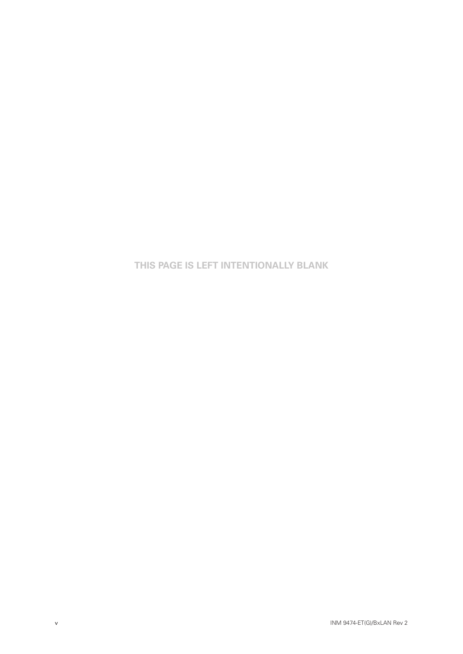**THIS PAGE IS LEFT INTENTIONALLY BLANK**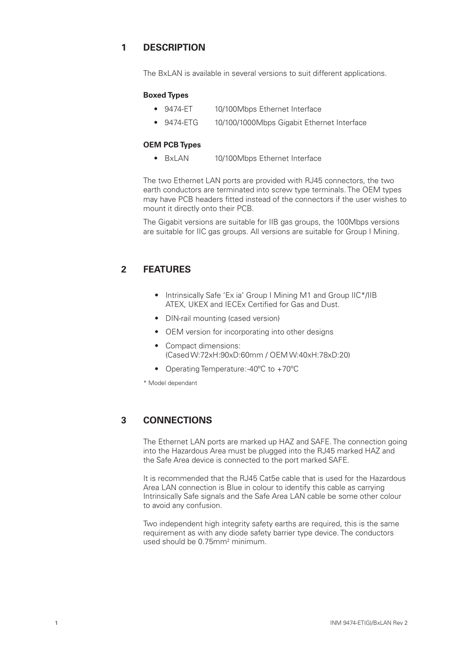## **1 DESCRIPTION**

The BxLAN is available in several versions to suit different applications.

## **Boxed Types**

- 9474-ET 10/100Mbps Ethernet Interface
- 9474-ETG 10/100/1000Mbps Gigabit Ethernet Interface

## **OEM PCB Types**

• BxLAN 10/100Mbps Ethernet Interface

The two Ethernet LAN ports are provided with RJ45 connectors, the two earth conductors are terminated into screw type terminals. The OEM types may have PCB headers fitted instead of the connectors if the user wishes to mount it directly onto their PCB.

The Gigabit versions are suitable for IIB gas groups, the 100Mbps versions are suitable for IIC gas groups. All versions are suitable for Group I Mining.

## **2 FEATURES**

- Intrinsically Safe 'Ex ia' Group I Mining M1 and Group IIC\*/IIB ATEX, UKEX and IECEx Certified for Gas and Dust.
- DIN-rail mounting (cased version)
- OEM version for incorporating into other designs
- Compact dimensions: (Cased W:72xH:90xD:60mm / OEM W:40xH:78xD:20)
- Operating Temperature: -40ºC to +70ºC

\* Model dependant

## **3 CONNECTIONS**

The Ethernet LAN ports are marked up HAZ and SAFE. The connection going into the Hazardous Area must be plugged into the RJ45 marked HAZ and the Safe Area device is connected to the port marked SAFE.

It is recommended that the RJ45 Cat5e cable that is used for the Hazardous Area LAN connection is Blue in colour to identify this cable as carrying Intrinsically Safe signals and the Safe Area LAN cable be some other colour to avoid any confusion.

Two independent high integrity safety earths are required, this is the same requirement as with any diode safety barrier type device. The conductors used should be 0.75mm<sup>2</sup> minimum.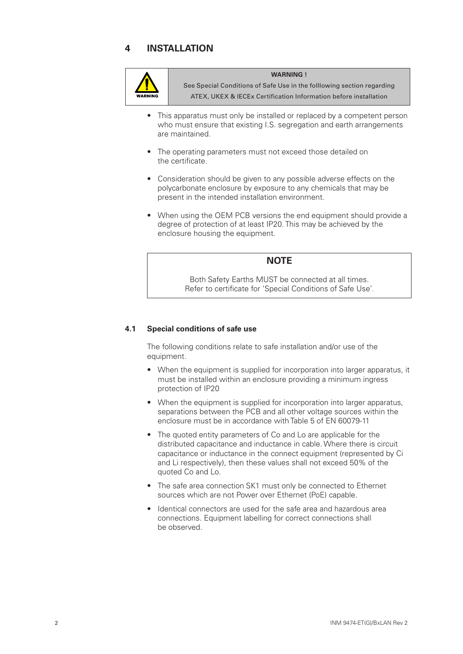## **4 INSTALLATION**



## **WARNING !**

See Special Conditions of Safe Use in the folllowing section regarding ATEX, UKEX & IECEx Certification Information before installation

- This apparatus must only be installed or replaced by a competent person who must ensure that existing I.S. segregation and earth arrangements are maintained.
- The operating parameters must not exceed those detailed on the certificate.
- Consideration should be given to any possible adverse effects on the polycarbonate enclosure by exposure to any chemicals that may be present in the intended installation environment.
- When using the OEM PCB versions the end equipment should provide a degree of protection of at least IP20. This may be achieved by the enclosure housing the equipment.

## **NOTE**

Both Safety Earths MUST be connected at all times. Refer to certificate for 'Special Conditions of Safe Use'.

## **4.1 Special conditions of safe use**

The following conditions relate to safe installation and/or use of the equipment.

- When the equipment is supplied for incorporation into larger apparatus, it must be installed within an enclosure providing a minimum ingress protection of IP20
- When the equipment is supplied for incorporation into larger apparatus, separations between the PCB and all other voltage sources within the enclosure must be in accordance with Table 5 of EN 60079-11
- The quoted entity parameters of Co and Lo are applicable for the distributed capacitance and inductance in cable. Where there is circuit capacitance or inductance in the connect equipment (represented by Ci and Li respectively), then these values shall not exceed 50% of the quoted Co and Lo.
- The safe area connection SK1 must only be connected to Ethernet sources which are not Power over Ethernet (PoE) capable.
- Identical connectors are used for the safe area and hazardous area connections. Equipment labelling for correct connections shall be observed.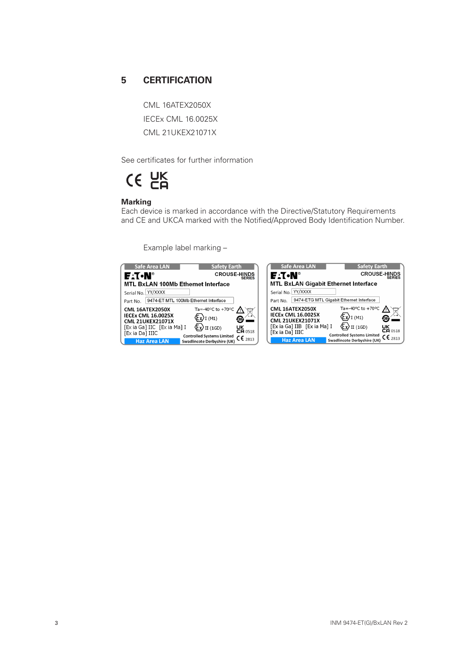## **5 CERTIFICATION**

CML 16ATEX2050X IECEx CML 16.0025X CML 21UKEX21071X

See certificates for further information

## CE UK

## **Marking**

Each device is marked in accordance with the Directive/Statutory Requirements and CE and UKCA marked with the Notified/Approved Body Identification Number.

Example label marking –

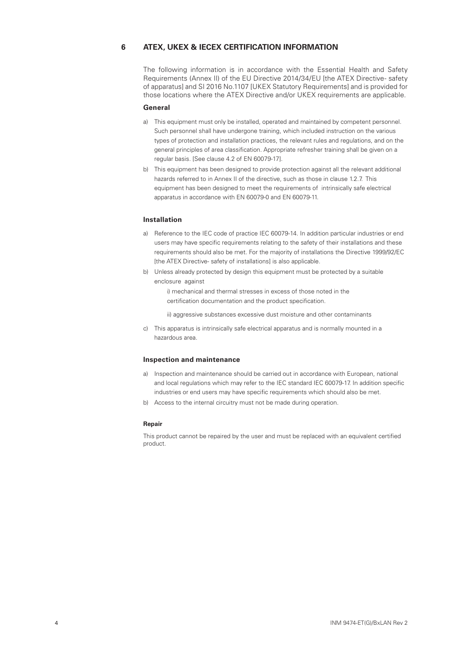## **6 ATEX, UKEX & IECEX CERTIFICATION INFORMATION**

The following information is in accordance with the Essential Health and Safety Requirements (Annex II) of the EU Directive 2014/34/EU [the ATEX Directive- safety of apparatus] and SI 2016 No.1107 [UKEX Statutory Requirements] and is provided for those locations where the ATEX Directive and/or UKEX requirements are applicable.

## **General**

- a) This equipment must only be installed, operated and maintained by competent personnel. Such personnel shall have undergone training, which included instruction on the various types of protection and installation practices, the relevant rules and regulations, and on the general principles of area classification. Appropriate refresher training shall be given on a regular basis. [See clause 4.2 of EN 60079-17].
- b) This equipment has been designed to provide protection against all the relevant additional hazards referred to in Annex II of the directive, such as those in clause 1.2.7. This equipment has been designed to meet the requirements of intrinsically safe electrical apparatus in accordance with EN 60079-0 and EN 60079-11.

## **Installation**

- a) Reference to the IEC code of practice IEC 60079-14. In addition particular industries or end users may have specific requirements relating to the safety of their installations and these requirements should also be met. For the majority of installations the Directive 1999/92/EC [the ATEX Directive- safety of installations] is also applicable.
- b) Unless already protected by design this equipment must be protected by a suitable enclosure against

i) mechanical and thermal stresses in excess of those noted in the certification documentation and the product specification.

ii) aggressive substances excessive dust moisture and other contaminants

c) This apparatus is intrinsically safe electrical apparatus and is normally mounted in a hazardous area.

## **Inspection and maintenance**

- a) Inspection and maintenance should be carried out in accordance with European, national and local regulations which may refer to the IEC standard IEC 60079-17. In addition specific industries or end users may have specific requirements which should also be met.
- b) Access to the internal circuitry must not be made during operation.

## **Repair**

This product cannot be repaired by the user and must be replaced with an equivalent certified product.